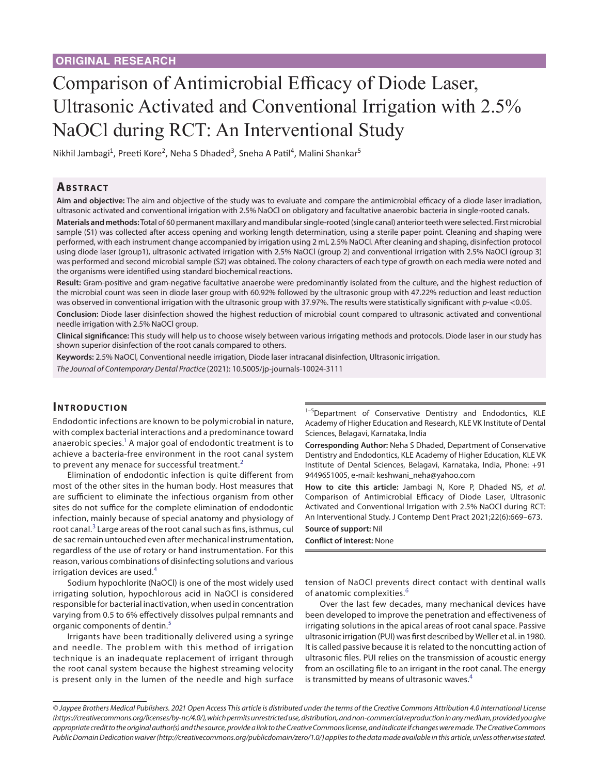# Comparison of Antimicrobial Efficacy of Diode Laser, Ultrasonic Activated and Conventional Irrigation with 2.5% NaOCl during RCT: An Interventional Study

Nikhil Jambagi<sup>1</sup>, Preeti Kore<sup>2</sup>, Neha S Dhaded<sup>3</sup>, Sneha A Patil<sup>4</sup>, Malini Shankar<sup>5</sup>

#### **Ab s t rac t**

**Aim and objective:** The aim and objective of the study was to evaluate and compare the antimicrobial efficacy of a diode laser irradiation, ultrasonic activated and conventional irrigation with 2.5% NaOCl on obligatory and facultative anaerobic bacteria in single-rooted canals.

**Materials and methods:** Total of 60 permanent maxillary and mandibular single-rooted (single canal) anterior teeth were selected. First microbial sample (S1) was collected after access opening and working length determination, using a sterile paper point. Cleaning and shaping were performed, with each instrument change accompanied by irrigation using 2 mL 2.5% NaOCl. After cleaning and shaping, disinfection protocol using diode laser (group1), ultrasonic activated irrigation with 2.5% NaOCl (group 2) and conventional irrigation with 2.5% NaOCl (group 3) was performed and second microbial sample (S2) was obtained. The colony characters of each type of growth on each media were noted and the organisms were identified using standard biochemical reactions.

**Result:** Gram-positive and gram-negative facultative anaerobe were predominantly isolated from the culture, and the highest reduction of the microbial count was seen in diode laser group with 60.92% followed by the ultrasonic group with 47.22% reduction and least reduction was observed in conventional irrigation with the ultrasonic group with 37.97%. The results were statistically significant with *p*-value <0.05.

**Conclusion:** Diode laser disinfection showed the highest reduction of microbial count compared to ultrasonic activated and conventional needle irrigation with 2.5% NaOCl group.

**Clinical significance:** This study will help us to choose wisely between various irrigating methods and protocols. Diode laser in our study has shown superior disinfection of the root canals compared to others.

**Keywords:** 2.5% NaOCl, Conventional needle irrigation, Diode laser intracanal disinfection, Ultrasonic irrigation.

*The Journal of Contemporary Dental Practice* (2021): 10.5005/jp-journals-10024-3111

#### **INTRODUCTION**

Endodontic infections are known to be polymicrobial in nature, with complex bacterial interactions and a predominance toward anaerobic species. $^{\rm 1}$  $^{\rm 1}$  $^{\rm 1}$  A major goal of endodontic treatment is to achieve a bacteria-free environment in the root canal system to prevent any menace for successful treatment.<sup>[2](#page-4-1)</sup>

Elimination of endodontic infection is quite different from most of the other sites in the human body. Host measures that are sufficient to eliminate the infectious organism from other sites do not suffice for the complete elimination of endodontic infection, mainly because of special anatomy and physiology of root canal. $3$  Large areas of the root canal such as fins, isthmus, cul de sac remain untouched even after mechanical instrumentation, regardless of the use of rotary or hand instrumentation. For this reason, various combinations of disinfecting solutions and various irrigation devices are used.<sup>[4](#page-4-3)</sup>

Sodium hypochlorite (NaOCl) is one of the most widely used irrigating solution, hypochlorous acid in NaOCl is considered responsible for bacterial inactivation, when used in concentration varying from 0.5 to 6% effectively dissolves pulpal remnants and organic components of dentin.<sup>[5](#page-4-4)</sup>

Irrigants have been traditionally delivered using a syringe and needle. The problem with this method of irrigation technique is an inadequate replacement of irrigant through the root canal system because the highest streaming velocity is present only in the lumen of the needle and high surface

<sup>1-5</sup>Department of Conservative Dentistry and Endodontics, KLE Academy of Higher Education and Research, KLE VK Institute of Dental Sciences, Belagavi, Karnataka, India

**Corresponding Author:** Neha S Dhaded, Department of Conservative Dentistry and Endodontics, KLE Academy of Higher Education, KLE VK Institute of Dental Sciences, Belagavi, Karnataka, India, Phone: +91 9449651005, e-mail: keshwani\_neha@yahoo.com

**How to cite this article:** Jambagi N, Kore P, Dhaded NS, *et al*. Comparison of Antimicrobial Efficacy of Diode Laser, Ultrasonic Activated and Conventional Irrigation with 2.5% NaOCl during RCT: An Interventional Study. J Contemp Dent Pract 2021;22(6):669–673. **Source of support:** Nil

#### **Conflict of interest:** None

tension of NaOCl prevents direct contact with dentinal walls of anatomic complexities.[6](#page-4-5)

Over the last few decades, many mechanical devices have been developed to improve the penetration and effectiveness of irrigating solutions in the apical areas of root canal space. Passive ultrasonic irrigation (PUI) was first described by Weller et al. in 1980. It is called passive because it is related to the noncutting action of ultrasonic files. PUI relies on the transmission of acoustic energy from an oscillating file to an irrigant in the root canal. The energy is transmitted by means of ultrasonic waves.<sup>[4](#page-4-3)</sup>

*<sup>©</sup> Jaypee Brothers Medical Publishers. 2021 Open Access This article is distributed under the terms of the Creative Commons Attribution 4.0 International License [\(https://creativecommons.org/licenses/by-nc/4.0/](https://creativecommons.org/licenses/by-nc/4.0/)), which permits unrestricted use, distribution, and non-commercial reproduction in any medium, provided you give appropriate credit to the original author(s) and the source, provide a link to the Creative Commons license, and indicate if changes were made. The Creative Commons Public Domain Dedication waiver [\(http://creativecommons.org/publicdomain/zero/1.0/](http://creativecommons.org/publicdomain/zero/1.0/)) applies to the data made available in this article, unless otherwise stated.*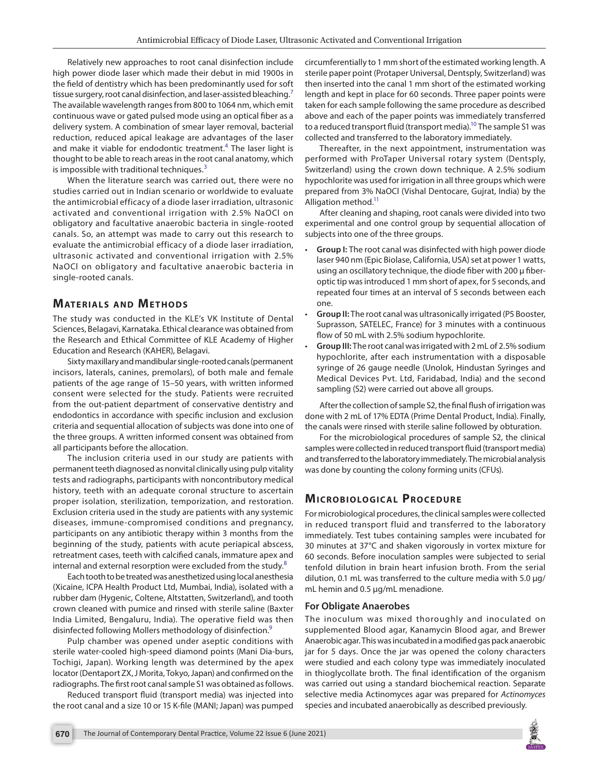Relatively new approaches to root canal disinfection include high power diode laser which made their debut in mid 1900s in the field of dentistry which has been predominantly used for soft tissue surgery, root canal disinfection, and laser-assisted bleaching.<sup>[7](#page-4-6)</sup> The available wavelength ranges from 800 to 1064 nm, which emit continuous wave or gated pulsed mode using an optical fiber as a delivery system. A combination of smear layer removal, bacterial reduction, reduced apical leakage are advantages of the laser and make it viable for endodontic treatment.<sup>[4](#page-4-3)</sup> The laser light is thought to be able to reach areas in the root canal anatomy, which is impossible with traditional techniques. $3$ 

When the literature search was carried out, there were no studies carried out in Indian scenario or worldwide to evaluate the antimicrobial efficacy of a diode laser irradiation, ultrasonic activated and conventional irrigation with 2.5% NaOCl on obligatory and facultative anaerobic bacteria in single-rooted canals. So, an attempt was made to carry out this research to evaluate the antimicrobial efficacy of a diode laser irradiation, ultrasonic activated and conventional irrigation with 2.5% NaOCl on obligatory and facultative anaerobic bacteria in single-rooted canals.

## **MATERIALS AND METHODS**

The study was conducted in the KLE's VK Institute of Dental Sciences, Belagavi, Karnataka. Ethical clearance was obtained from the Research and Ethical Committee of KLE Academy of Higher Education and Research (KAHER), Belagavi.

Sixty maxillary and mandibular single-rooted canals (permanent incisors, laterals, canines, premolars), of both male and female patients of the age range of 15–50 years, with written informed consent were selected for the study. Patients were recruited from the out-patient department of conservative dentistry and endodontics in accordance with specific inclusion and exclusion criteria and sequential allocation of subjects was done into one of the three groups. A written informed consent was obtained from all participants before the allocation.

The inclusion criteria used in our study are patients with permanent teeth diagnosed as nonvital clinically using pulp vitality tests and radiographs, participants with noncontributory medical history, teeth with an adequate coronal structure to ascertain proper isolation, sterilization, temporization, and restoration. Exclusion criteria used in the study are patients with any systemic diseases, immune-compromised conditions and pregnancy, participants on any antibiotic therapy within 3 months from the beginning of the study, patients with acute periapical abscess, retreatment cases, teeth with calcified canals, immature apex and internal and external resorption were excluded from the study.<sup>[8](#page-4-7)</sup>

Each tooth to be treated was anesthetized using local anesthesia (Xicaine, ICPA Health Product Ltd, Mumbai, India), isolated with a rubber dam (Hygenic, Coltene, Altstatten, Switzerland), and tooth crown cleaned with pumice and rinsed with sterile saline (Baxter India Limited, Bengaluru, India). The operative field was then disinfected following Mollers methodology of disinfection[.9](#page-4-8)

Pulp chamber was opened under aseptic conditions with sterile water-cooled high-speed diamond points (Mani Dia-burs, Tochigi, Japan). Working length was determined by the apex locator (Dentaport ZX, J Morita, Tokyo, Japan) and confirmed on the radiographs. The first root canal sample S1 was obtained as follows.

Reduced transport fluid (transport media) was injected into the root canal and a size 10 or 15 K-file (MANI; Japan) was pumped circumferentially to 1 mm short of the estimated working length. A sterile paper point (Protaper Universal, Dentsply, Switzerland) was then inserted into the canal 1 mm short of the estimated working length and kept in place for 60 seconds. Three paper points were taken for each sample following the same procedure as described above and each of the paper points was immediately transferred to a reduced transport fluid (transport media).<sup>10</sup> The sample S1 was collected and transferred to the laboratory immediately.

Thereafter, in the next appointment, instrumentation was performed with ProTaper Universal rotary system (Dentsply, Switzerland) using the crown down technique. A 2.5% sodium hypochlorite was used for irrigation in all three groups which were prepared from 3% NaOCl (Vishal Dentocare, Gujrat, India) by the Alligation method.<sup>11</sup>

After cleaning and shaping, root canals were divided into two experimental and one control group by sequential allocation of subjects into one of the three groups.

- **Group I:** The root canal was disinfected with high power diode laser 940 nm (Epic Biolase, California, USA) set at power 1 watts, using an oscillatory technique, the diode fiber with 200 µ fiberoptic tip was introduced 1 mm short of apex, for 5 seconds, and repeated four times at an interval of 5 seconds between each one.
- **Group II:** The root canal was ultrasonically irrigated (P5 Booster, Suprasson, SATELEC, France) for 3 minutes with a continuous flow of 50 mL with 2.5% sodium hypochlorite.
- **Group III:** The root canal was irrigated with 2 mL of 2.5% sodium hypochlorite, after each instrumentation with a disposable syringe of 26 gauge needle (Unolok, Hindustan Syringes and Medical Devices Pvt. Ltd, Faridabad, India) and the second sampling (S2) were carried out above all groups.

After the collection of sample S2, the final flush of irrigation was done with 2 mL of 17% EDTA (Prime Dental Product, India). Finally, the canals were rinsed with sterile saline followed by obturation.

For the microbiological procedures of sample S2, the clinical samples were collected in reduced transport fluid (transport media) and transferred to the laboratory immediately. The microbial analysis was done by counting the colony forming units (CFUs).

# **MICROBIOLOGICAL PROCEDURE**

For microbiological procedures, the clinical samples were collected in reduced transport fluid and transferred to the laboratory immediately. Test tubes containing samples were incubated for 30 minutes at 37°C and shaken vigorously in vortex mixture for 60 seconds. Before inoculation samples were subjected to serial tenfold dilution in brain heart infusion broth. From the serial dilution, 0.1 mL was transferred to the culture media with 5.0 µg/ mL hemin and 0.5 µg/mL menadione.

#### **For Obligate Anaerobes**

The inoculum was mixed thoroughly and inoculated on supplemented Blood agar, Kanamycin Blood agar, and Brewer Anaerobic agar. This was incubated in a modified gas pack anaerobic jar for 5 days. Once the jar was opened the colony characters were studied and each colony type was immediately inoculated in thioglycollate broth. The final identification of the organism was carried out using a standard biochemical reaction. Separate selective media Actinomyces agar was prepared for *Actinomyces*  species and incubated anaerobically as described previously.

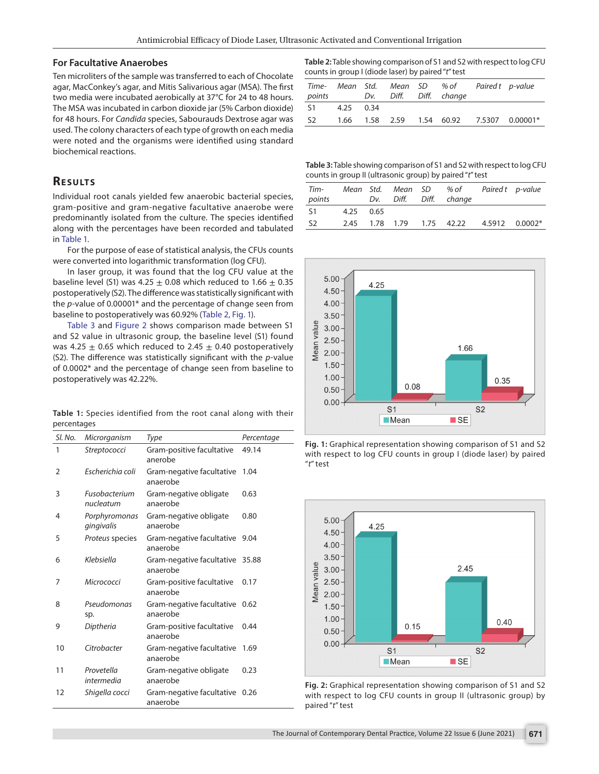#### **For Facultative Anaerobes**

Ten microliters of the sample was transferred to each of Chocolate agar, MacConkey's agar, and Mitis Salivarious agar (MSA). The first two media were incubated aerobically at 37°C for 24 to 48 hours. The MSA was incubated in carbon dioxide jar (5% Carbon dioxide) for 48 hours. For *Candida* species, Sabourauds Dextrose agar was used. The colony characters of each type of growth on each media were noted and the organisms were identified using standard biochemical reactions.

## **RESULTS**

Individual root canals yielded few anaerobic bacterial species, gram-positive and gram-negative facultative anaerobe were predominantly isolated from the culture. The species identified along with the percentages have been recorded and tabulated in [Table 1](#page-2-0).

For the purpose of ease of statistical analysis, the CFUs counts were converted into logarithmic transformation (log CFU).

In laser group, it was found that the log CFU value at the baseline level (S1) was 4.25  $\pm$  0.08 which reduced to 1.66  $\pm$  0.35 postoperatively (S2). The difference was statistically significant with the *p*-value of 0.00001\* and the percentage of change seen from baseline to postoperatively was 60.92% ([Table 2,](#page-2-1) [Fig. 1\)](#page-2-2).

[Table 3](#page-2-3) and [Figure 2](#page-2-4) shows comparison made between S1 and S2 value in ultrasonic group, the baseline level (S1) found was 4.25  $\pm$  0.65 which reduced to 2.45  $\pm$  0.40 postoperatively (S2). The difference was statistically significant with the *p*-value of 0.0002\* and the percentage of change seen from baseline to postoperatively was 42.22%.

<span id="page-2-0"></span>**Table 1:** Species identified from the root canal along with their percentages

| SI. No.        | Microrganism                | Type                                        | Percentage |
|----------------|-----------------------------|---------------------------------------------|------------|
| 1              | Streptococci                | Gram-positive facultative<br>anerobe        | 49.14      |
| $\overline{2}$ | Escherichia coli            | Gram-negative facultative<br>anaerobe       | 1.04       |
| 3              | Fusobacterium<br>nucleatum  | Gram-negative obligate<br>anaerobe          | 0.63       |
| 4              | Porphyromonas<br>gingivalis | Gram-negative obligate<br>anaerobe          | 0.80       |
| 5              | Proteus species             | Gram-negative facultative<br>anaerobe       | 9.04       |
| 6              | Klebsiella                  | Gram-negative facultative 35.88<br>anaerobe |            |
| 7              | Micrococci                  | Gram-positive facultative<br>anaerobe       | 0.17       |
| 8              | Pseudomonas<br>sp.          | Gram-negative facultative<br>anaerobe       | 0.62       |
| 9              | Diptheria                   | Gram-positive facultative<br>anaerobe       | 0.44       |
| 10             | Citrobacter                 | Gram-negative facultative<br>anaerobe       | 1.69       |
| 11             | Provetella<br>intermedia    | Gram-negative obligate<br>anaerobe          | 0.23       |
| 12             | Shigella cocci              | Gram-negative facultative<br>anaerobe       | 0.26       |

<span id="page-2-1"></span>**Table 2:** Table showing comparison of S1 and S2 with respect to log CFU counts in group I (diode laser) by paired "*t*" test

|                |           |  | Time- Mean Std. Mean SD % of Paired t p-value<br>points Dv. Diff. Diff. change |                                                 |
|----------------|-----------|--|--------------------------------------------------------------------------------|-------------------------------------------------|
| S1             | 4.25 0.34 |  |                                                                                |                                                 |
| S <sub>2</sub> |           |  |                                                                                | 1.66  1.58  2.59  1.54  60.92  7.5307  0.00001* |

<span id="page-2-3"></span>**Table 3:** Table showing comparison of S1 and S2 with respect to log CFU counts in group II (ultrasonic group) by paired "*t*" test

| Tim-<br>points |           |  | Mean Std. Mean SD % of<br>Dv. Diff. Diff. change | Paired t p-value |  |
|----------------|-----------|--|--------------------------------------------------|------------------|--|
| S <sub>1</sub> | 4.25 0.65 |  |                                                  |                  |  |
| S <sub>2</sub> |           |  | 2.45 1.78 1.79 1.75 42.22 4.5912 0.0002*         |                  |  |



<span id="page-2-2"></span>



<span id="page-2-4"></span>**Fig. 2:** Graphical representation showing comparison of S1 and S2 with respect to log CFU counts in group II (ultrasonic group) by paired "*t*" test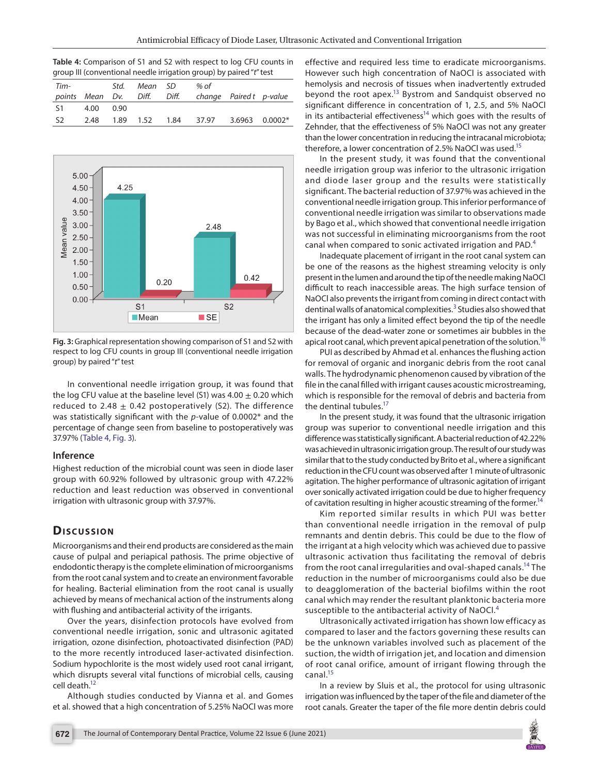<span id="page-3-0"></span>**Table 4:** Comparison of S1 and S2 with respect to log CFU counts in group III (conventional needle irrigation group) by paired "*t*" test

| Tim-           |  | Std. Mean SD | % of<br>points Mean Dv. Diff. Diff. change Pairedt p-value |  |
|----------------|--|--------------|------------------------------------------------------------|--|
| S1 4.00 0.90   |  |              |                                                            |  |
| S <sub>2</sub> |  |              | 2.48  1.89  1.52  1.84  37.97  3.6963  0.0002*             |  |



<span id="page-3-1"></span>**Fig. 3:** Graphical representation showing comparison of S1 and S2 with respect to log CFU counts in group III (conventional needle irrigation group) by paired "*t*" test

In conventional needle irrigation group, it was found that the log CFU value at the baseline level (S1) was  $4.00 \pm 0.20$  which reduced to 2.48  $\pm$  0.42 postoperatively (S2). The difference was statistically significant with the *p*-value of 0.0002\* and the percentage of change seen from baseline to postoperatively was 37.97% ([Table 4](#page-3-0), [Fig. 3\)](#page-3-1).

#### **Inference**

Highest reduction of the microbial count was seen in diode laser group with 60.92% followed by ultrasonic group with 47.22% reduction and least reduction was observed in conventional irrigation with ultrasonic group with 37.97%.

# **Dis c u s sio n**

Microorganisms and their end products are considered as the main cause of pulpal and periapical pathosis. The prime objective of endodontic therapy is the complete elimination of microorganisms from the root canal system and to create an environment favorable for healing. Bacterial elimination from the root canal is usually achieved by means of mechanical action of the instruments along with flushing and antibacterial activity of the irrigants.

Over the years, disinfection protocols have evolved from conventional needle irrigation, sonic and ultrasonic agitated irrigation, ozone disinfection, photoactivated disinfection (PAD) to the more recently introduced laser-activated disinfection. Sodium hypochlorite is the most widely used root canal irrigant, which disrupts several vital functions of microbial cells, causing cell death.<sup>12</sup>

Although studies conducted by Vianna et al. and Gomes et al. showed that a high concentration of 5.25% NaOCl was more

effective and required less time to eradicate microorganisms. However such high concentration of NaOCl is associated with hemolysis and necrosis of tissues when inadvertently extruded beyond the root apex[.13](#page-4-12) Bystrom and Sandquist observed no significant difference in concentration of 1, 2.5, and 5% NaOCl in its antibacterial effectiveness<sup>14</sup> which goes with the results of Zehnder, that the effectiveness of 5% NaOCl was not any greater than the lower concentration in reducing the intracanal microbiota; therefore, a lower concentration of 2.5% NaOCl was used.<sup>15</sup>

In the present study, it was found that the conventional needle irrigation group was inferior to the ultrasonic irrigation and diode laser group and the results were statistically significant. The bacterial reduction of 37.97% was achieved in the conventional needle irrigation group. This inferior performance of conventional needle irrigation was similar to observations made by Bago et al., which showed that conventional needle irrigation was not successful in eliminating microorganisms from the root canal when compared to sonic activated irrigation and PAD.<sup>[4](#page-4-3)</sup>

Inadequate placement of irrigant in the root canal system can be one of the reasons as the highest streaming velocity is only present in the lumen and around the tip of the needle making NaOCl difficult to reach inaccessible areas. The high surface tension of NaOCl also prevents the irrigant from coming in direct contact with dentinal walls of anatomical complexities.<sup>[3](#page-4-2)</sup> Studies also showed that the irrigant has only a limited effect beyond the tip of the needle because of the dead-water zone or sometimes air bubbles in the apical root canal, which prevent apical penetration of the solution.<sup>16</sup>

PUI as described by Ahmad et al. enhances the flushing action for removal of organic and inorganic debris from the root canal walls. The hydrodynamic phenomenon caused by vibration of the file in the canal filled with irrigant causes acoustic microstreaming, which is responsible for the removal of debris and bacteria from the dentinal tubules.<sup>17</sup>

In the present study, it was found that the ultrasonic irrigation group was superior to conventional needle irrigation and this difference was statistically significant. A bacterial reduction of 42.22% was achieved in ultrasonic irrigation group. The result of our study was similar that to the study conducted by Brito et al., where a significant reduction in the CFU count was observed after 1 minute of ultrasonic agitation. The higher performance of ultrasonic agitation of irrigant over sonically activated irrigation could be due to higher frequency of cavitation resulting in higher acoustic streaming of the former.<sup>14</sup>

Kim reported similar results in which PUI was better than conventional needle irrigation in the removal of pulp remnants and dentin debris. This could be due to the flow of the irrigant at a high velocity which was achieved due to passive ultrasonic activation thus facilitating the removal of debris from the root canal irregularities and oval-shaped canals.<sup>14</sup> The reduction in the number of microorganisms could also be due to deagglomeration of the bacterial biofilms within the root canal which may render the resultant planktonic bacteria more susceptible to the antibacterial activity of NaOCl. $<sup>4</sup>$  $<sup>4</sup>$  $<sup>4</sup>$ </sup>

Ultrasonically activated irrigation has shown low efficacy as compared to laser and the factors governing these results can be the unknown variables involved such as placement of the suction, the width of irrigation jet, and location and dimension of root canal orifice, amount of irrigant flowing through the canal.<sup>15</sup>

In a review by Sluis et al., the protocol for using ultrasonic irrigation was influenced by the taper of the file and diameter of the root canals. Greater the taper of the file more dentin debris could